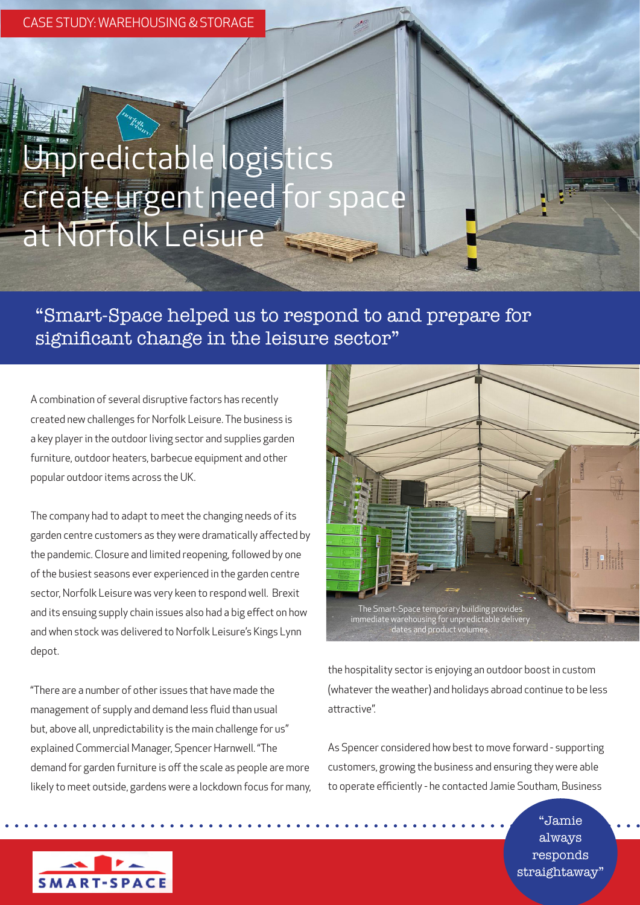## Unpredictable logistics create urgent need for space at Norfolk Leisure

"Smart-Space helped us to respond to and prepare for significant change in the leisure sector"

A combination of several disruptive factors has recently created new challenges for Norfolk Leisure. The business is a key player in the outdoor living sector and supplies garden furniture, outdoor heaters, barbecue equipment and other popular outdoor items across the UK.

The company had to adapt to meet the changing needs of its garden centre customers as they were dramatically affected by the pandemic. Closure and limited reopening, followed by one of the busiest seasons ever experienced in the garden centre sector, Norfolk Leisure was very keen to respond well. Brexit and its ensuing supply chain issues also had a big effect on how and when stock was delivered to Norfolk Leisure's Kings Lynn depot.

"There are a number of other issues that have made the management of supply and demand less fluid than usual but, above all, unpredictability is the main challenge for us" explained Commercial Manager, Spencer Harnwell. "The demand for garden furniture is off the scale as people are more likely to meet outside, gardens were a lockdown focus for many,



the hospitality sector is enjoying an outdoor boost in custom (whatever the weather) and holidays abroad continue to be less attractive".

As Spencer considered how best to move forward - supporting customers, growing the business and ensuring they were able to operate efficiently - he contacted Jamie Southam, Business

> "Jamie always responds straightaway"